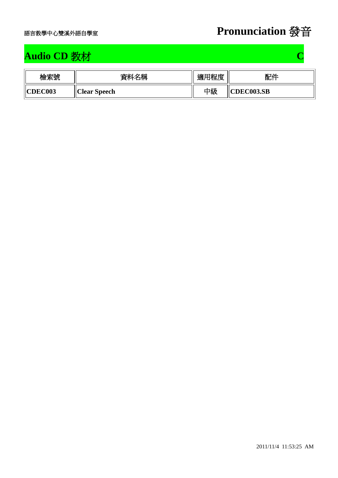

## **Audio CD** 教材 **C**

| 檢索號            | 資料名稱                | 適用程度 | 配件         |
|----------------|---------------------|------|------------|
| <b>CDEC003</b> | <b>Clear Speech</b> | 中級   | CDEC003.SB |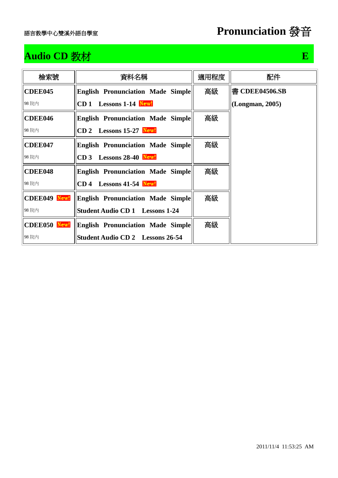## **Audio CD** 教材 **E**

| 檢索號                 | 資料名稱                                     | 適用程度 | 配件              |
|---------------------|------------------------------------------|------|-----------------|
| CDEE045             | <b>English Pronunciation Made Simple</b> | 高級   | 書 CDEE04506.SB  |
| 98 院内               | Lessons 1-14 New!<br>CD <sub>1</sub>     |      | (Longman, 2005) |
| CDEE046             | <b>English Pronunciation Made Simple</b> | 高級   |                 |
| 98 院内               | $CD 2$ Lessons 15-27 New!                |      |                 |
| <b>CDEE047</b>      | <b>English Pronunciation Made Simple</b> | 高級   |                 |
| 98 院内               | CD 3 Lessons 28-40 New!                  |      |                 |
| CDEE048             | English Pronunciation Made Simple        | 高級   |                 |
| 98 院内               | $CD$ 4 Lessons 41-54 New!                |      |                 |
| CDEE049 New!        | <b>English Pronunciation Made Simple</b> | 高級   |                 |
| 98 院內               | <b>Student Audio CD 1</b> Lessons 1-24   |      |                 |
| <b>CDEE050 New!</b> | <b>English Pronunciation Made Simple</b> | 高級   |                 |
| 98 院内               | <b>Student Audio CD 2</b> Lessons 26-54  |      |                 |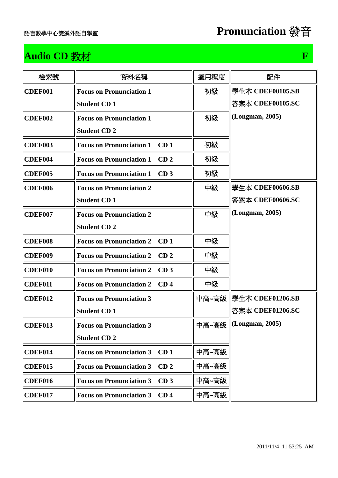### **Audio CD** 教材 **F**

| 檢索號            | 資料名稱                                               | 適用程度  | 配件                        |
|----------------|----------------------------------------------------|-------|---------------------------|
| CDEF001        | <b>Focus on Pronunciation 1</b>                    | 初級    | 學牛本 CDEF00105.SB          |
|                | <b>Student CD1</b>                                 |       | 答案本 CDEF00105.SC          |
| CDEF002        | <b>Focus on Pronunciation 1</b>                    | 初級    | (Longman, 2005)           |
|                | <b>Student CD 2</b>                                |       |                           |
| CDEF003        | <b>Focus on Pronunciation 1</b><br>CD <sub>1</sub> | 初級    |                           |
| CDEF004        | <b>Focus on Pronunciation 1</b><br>CD <sub>2</sub> | 初級    |                           |
| CDEF005        | <b>Focus on Pronunciation 1</b><br>CD <sub>3</sub> | 初級    |                           |
| CDEF006        | <b>Focus on Pronunciation 2</b>                    | 中級    | 學生本 CDEF00606.SB          |
|                | <b>Student CD1</b>                                 |       | 答案本 CDEF00606.SC          |
| CDEF007        | <b>Focus on Pronunciation 2</b>                    | 中級    | (Longman, 2005)           |
|                | <b>Student CD 2</b>                                |       |                           |
| <b>CDEF008</b> | CD <sub>1</sub><br><b>Focus on Pronunciation 2</b> | 中級    |                           |
| CDEF009        | <b>Focus on Pronunciation 2</b><br>CD <sub>2</sub> | 中級    |                           |
| CDEF010        | <b>Focus on Pronunciation 2</b><br>CD <sub>3</sub> | 中級    |                           |
| CDEF011        | <b>Focus on Pronunciation 2</b><br>CD <sub>4</sub> | 中級    |                           |
| CDEF012        | <b>Focus on Pronunciation 3</b>                    | 中高~高級 | <b>  學生本 CDEF01206.SB</b> |
|                | <b>Student CD1</b>                                 |       | 答案本 CDEF01206.SC          |
| CDEF013        | <b>Focus on Pronunciation 3</b>                    |       | 中高~高級   (Longman, 2005)   |
|                | <b>Student CD 2</b>                                |       |                           |
| CDEF014        | <b>Focus on Pronunciation 3</b><br>CD <sub>1</sub> | 中高~高級 |                           |
| <b>CDEF015</b> | <b>Focus on Pronunciation 3</b><br>CD <sub>2</sub> | 中高~高級 |                           |
| CDEF016        | <b>Focus on Pronunciation 3</b><br>CD <sub>3</sub> | 中高~高級 |                           |
| CDEF017        | <b>Focus on Pronunciation 3</b><br>CD <sub>4</sub> | 中高~高級 |                           |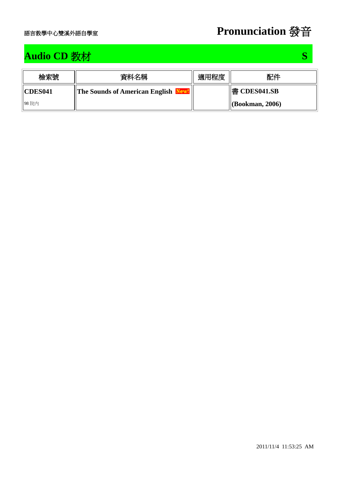## **Audio CD** 教材 **S**

| 檢索號            | 資料名稱                                  | 適用程度 | 配件                   |
|----------------|---------------------------------------|------|----------------------|
| <b>CDES041</b> | <b>The Sounds of American English</b> |      | ' 書 CDES041.SB       |
| 98院內           |                                       |      | $  $ (Bookman, 2006) |

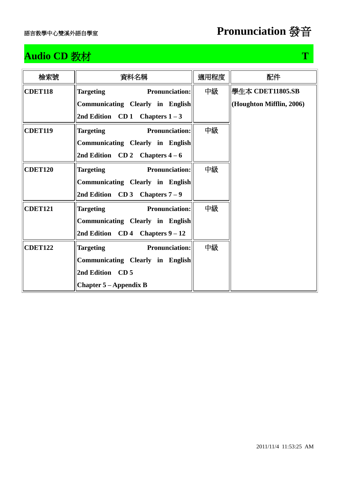## **Audio CD** 教材 **T T**

| 檢索號            | 資料名稱                                      | 適用程度 | 配件                       |
|----------------|-------------------------------------------|------|--------------------------|
| <b>CDET118</b> | Pronunciation:<br><b>Targeting</b>        | 中級   | 學生本 CDET11805.SB         |
|                | Communicating Clearly in English          |      | (Houghton Mifflin, 2006) |
|                | 2nd Edition $CD 1$ Chapters $1 - 3$       |      |                          |
| <b>CDET119</b> | Targeting Pronunciation:                  | 中級   |                          |
|                | Communicating Clearly in English          |      |                          |
|                | 2nd Edition CD 2 Chapters $4-6$           |      |                          |
| <b>CDET120</b> | Pronunciation:<br><b>Targeting</b>        | 中級   |                          |
|                | Communicating Clearly in English          |      |                          |
|                | 2nd Edition CD 3 Chapters $7-9$           |      |                          |
| <b>CDET121</b> | <b>Targeting</b><br><b>Pronunciation:</b> | 中級   |                          |
|                | Communicating Clearly in English          |      |                          |
|                | 2nd Edition $CD4$ Chapters $9-12$         |      |                          |
| <b>CDET122</b> | Targeting Pronunciation:                  | 中級   |                          |
|                | Communicating Clearly in English          |      |                          |
|                | 2nd Edition CD 5                          |      |                          |
|                | Chapter $5 -$ Appendix B                  |      |                          |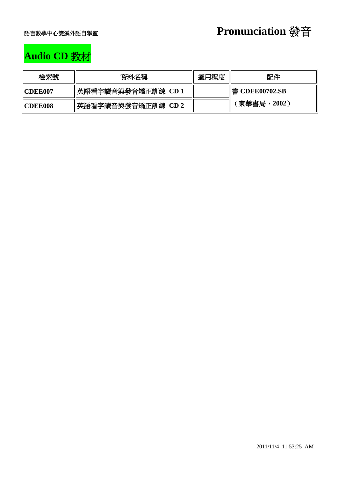

# **Audio CD** 教材

| 檢索號             | 資料名稱               | 適用程度 | 配件             |
|-----------------|--------------------|------|----------------|
| <b>ICDEE007</b> | 英語看字讀音與發音矯正訓練 CD 1 |      | 書 CDEE00702.SB |
| <b>ICDEE008</b> | 英語看字讀音與發音矯正訓練 CD 2 |      | 〔東華書局,2002〕    |